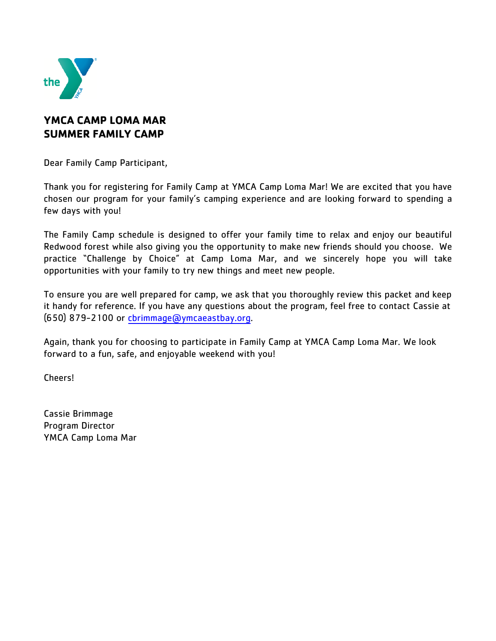

## **YMCA CAMP LOMA MAR SUMMER FAMILY CAMP**

Dear Family Camp Participant,

Thank you for registering for Family Camp at YMCA Camp Loma Mar! We are excited that you have chosen our program for your family's camping experience and are looking forward to spending a few days with you!

The Family Camp schedule is designed to offer your family time to relax and enjoy our beautiful Redwood forest while also giving you the opportunity to make new friends should you choose. We practice "Challenge by Choice" at Camp Loma Mar, and we sincerely hope you will take opportunities with your family to try new things and meet new people.

To ensure you are well prepared for camp, we ask that you thoroughly review this packet and keep it handy for reference. If you have any questions about the program, feel free to contact Cassie at (650) 879-2100 or cbrimmage[@ymcaeastbay.org.](mailto:cmackall@ymcaeastbay.org)

Again, thank you for choosing to participate in Family Camp at YMCA Camp Loma Mar. We look forward to a fun, safe, and enjoyable weekend with you!

Cheers!

Cassie Brimmage Program Director YMCA Camp Loma Mar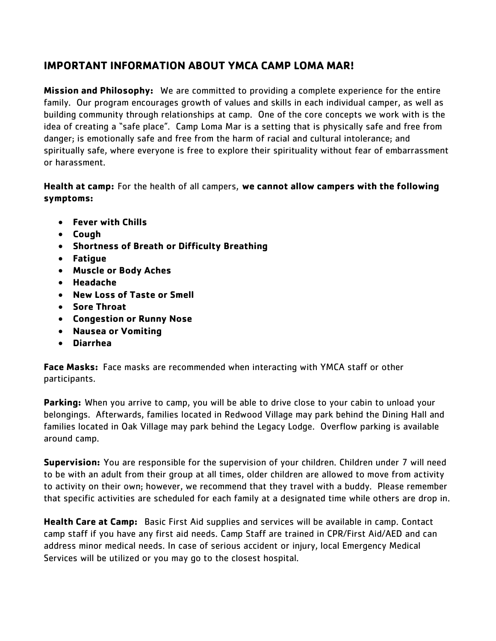## **IMPORTANT INFORMATION ABOUT YMCA CAMP LOMA MAR!**

**Mission and Philosophy:** We are committed to providing a complete experience for the entire family. Our program encourages growth of values and skills in each individual camper, as well as building community through relationships at camp. One of the core concepts we work with is the idea of creating a "safe place". Camp Loma Mar is a setting that is physically safe and free from danger; is emotionally safe and free from the harm of racial and cultural intolerance; and spiritually safe, where everyone is free to explore their spirituality without fear of embarrassment or harassment.

**Health at camp:** For the health of all campers, **we cannot allow campers with the following symptoms:**

- **Fever with Chills**
- **Cough**
- **Shortness of Breath or Difficulty Breathing**
- **Fatigue**
- **Muscle or Body Aches**
- **Headache**
- **New Loss of Taste or Smell**
- **Sore Throat**
- **Congestion or Runny Nose**
- **Nausea or Vomiting**
- **Diarrhea**

**Face Masks:** Face masks are recommended when interacting with YMCA staff or other participants.

**Parking:** When you arrive to camp, you will be able to drive close to your cabin to unload your belongings. Afterwards, families located in Redwood Village may park behind the Dining Hall and families located in Oak Village may park behind the Legacy Lodge. Overflow parking is available around camp.

**Supervision:** You are responsible for the supervision of your children. Children under 7 will need to be with an adult from their group at all times, older children are allowed to move from activity to activity on their own; however, we recommend that they travel with a buddy. Please remember that specific activities are scheduled for each family at a designated time while others are drop in.

**Health Care at Camp:** Basic First Aid supplies and services will be available in camp. Contact camp staff if you have any first aid needs. Camp Staff are trained in CPR/First Aid/AED and can address minor medical needs. In case of serious accident or injury, local Emergency Medical Services will be utilized or you may go to the closest hospital.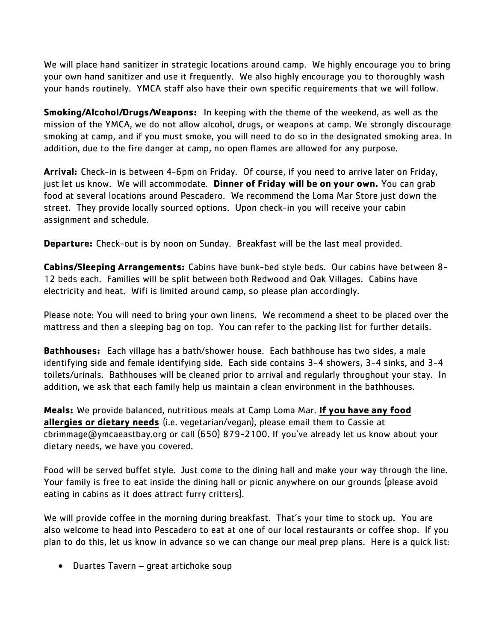We will place hand sanitizer in strategic locations around camp. We highly encourage you to bring your own hand sanitizer and use it frequently. We also highly encourage you to thoroughly wash your hands routinely. YMCA staff also have their own specific requirements that we will follow.

**Smoking/Alcohol/Drugs/Weapons:** In keeping with the theme of the weekend, as well as the mission of the YMCA, we do not allow alcohol, drugs, or weapons at camp. We strongly discourage smoking at camp, and if you must smoke, you will need to do so in the designated smoking area. In addition, due to the fire danger at camp, no open flames are allowed for any purpose.

**Arrival:** Check-in is between 4-6pm on Friday. Of course, if you need to arrive later on Friday, just let us know. We will accommodate. **Dinner of Friday will be on your own.** You can grab food at several locations around Pescadero. We recommend the Loma Mar Store just down the street. They provide locally sourced options. Upon check-in you will receive your cabin assignment and schedule.

**Departure:** Check-out is by noon on Sunday. Breakfast will be the last meal provided.

**Cabins/Sleeping Arrangements:** Cabins have bunk-bed style beds. Our cabins have between 8- 12 beds each. Families will be split between both Redwood and Oak Villages. Cabins have electricity and heat. Wifi is limited around camp, so please plan accordingly.

Please note: You will need to bring your own linens. We recommend a sheet to be placed over the mattress and then a sleeping bag on top. You can refer to the packing list for further details.

**Bathhouses:** Each village has a bath/shower house. Each bathhouse has two sides, a male identifying side and female identifying side. Each side contains 3-4 showers, 3-4 sinks, and 3-4 toilets/urinals. Bathhouses will be cleaned prior to arrival and regularly throughout your stay. In addition, we ask that each family help us maintain a clean environment in the bathhouses.

**Meals:** We provide balanced, nutritious meals at Camp Loma Mar. **If you have any food allergies or dietary needs** (i.e. vegetarian/vegan), please email them to Cassie at cbrimmage@ymcaeastbay.org or call (650) 879-2100. If you've already let us know about your dietary needs, we have you covered.

Food will be served buffet style. Just come to the dining hall and make your way through the line. Your family is free to eat inside the dining hall or picnic anywhere on our grounds (please avoid eating in cabins as it does attract furry critters).

We will provide coffee in the morning during breakfast. That's your time to stock up. You are also welcome to head into Pescadero to eat at one of our local restaurants or coffee shop. If you plan to do this, let us know in advance so we can change our meal prep plans. Here is a quick list:

• Duartes Tavern – great artichoke soup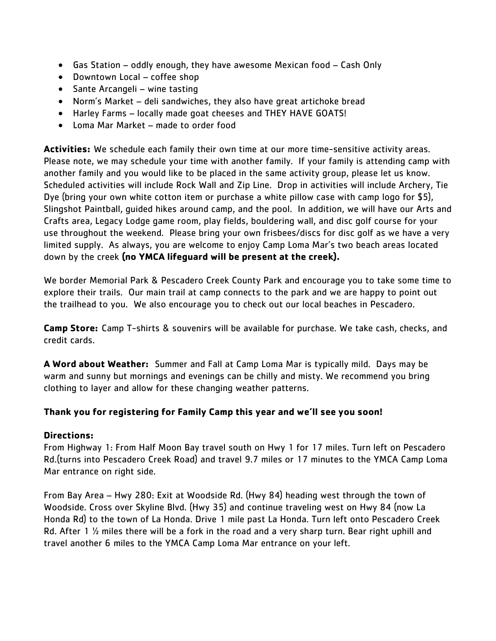- Gas Station oddly enough, they have awesome Mexican food Cash Only
- Downtown Local coffee shop
- Sante Arcangeli wine tasting
- Norm's Market deli sandwiches, they also have great artichoke bread
- Harley Farms locally made goat cheeses and THEY HAVE GOATS!
- Loma Mar Market made to order food

**Activities:** We schedule each family their own time at our more time-sensitive activity areas. Please note, we may schedule your time with another family. If your family is attending camp with another family and you would like to be placed in the same activity group, please let us know. Scheduled activities will include Rock Wall and Zip Line. Drop in activities will include Archery, Tie Dye (bring your own white cotton item or purchase a white pillow case with camp logo for \$5), Slingshot Paintball, guided hikes around camp, and the pool. In addition, we will have our Arts and Crafts area, Legacy Lodge game room, play fields, bouldering wall, and disc golf course for your use throughout the weekend. Please bring your own frisbees/discs for disc golf as we have a very limited supply. As always, you are welcome to enjoy Camp Loma Mar's two beach areas located down by the creek **(no YMCA lifeguard will be present at the creek).**

We border Memorial Park & Pescadero Creek County Park and encourage you to take some time to explore their trails. Our main trail at camp connects to the park and we are happy to point out the trailhead to you. We also encourage you to check out our local beaches in Pescadero.

**Camp Store:** Camp T-shirts & souvenirs will be available for purchase. We take cash, checks, and credit cards.

**A Word about Weather:** Summer and Fall at Camp Loma Mar is typically mild. Days may be warm and sunny but mornings and evenings can be chilly and misty. We recommend you bring clothing to layer and allow for these changing weather patterns.

## **Thank you for registering for Family Camp this year and we'll see you soon!**

## **Directions:**

From Highway 1: From Half Moon Bay travel south on Hwy 1 for 17 miles. Turn left on Pescadero Rd.(turns into Pescadero Creek Road) and travel 9.7 miles or 17 minutes to the YMCA Camp Loma Mar entrance on right side.

From Bay Area – Hwy 280: Exit at Woodside Rd. (Hwy 84) heading west through the town of Woodside. Cross over Skyline Blvd. (Hwy 35) and continue traveling west on Hwy 84 (now La Honda Rd) to the town of La Honda. Drive 1 mile past La Honda. Turn left onto Pescadero Creek Rd. After 1 1/2 miles there will be a fork in the road and a very sharp turn. Bear right uphill and travel another 6 miles to the YMCA Camp Loma Mar entrance on your left.